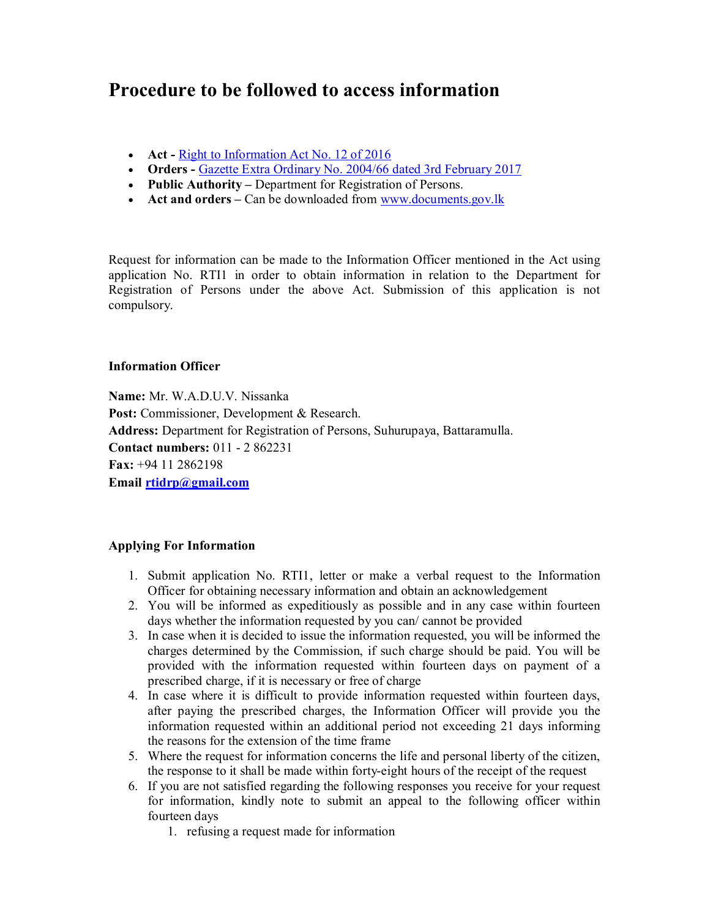# **Procedure to be followed to access information**

- **Act** Right to Information Act No. 12 of 2016
- **Orders -** Gazette Extra Ordinary No. 2004/66 dated 3rd February 2017
- **Public Authority –** Department for Registration of Persons.
- Act and orders Can be downloaded from www.documents.gov.lk

Request for information can be made to the Information Officer mentioned in the Act using application No. RTI1 in order to obtain information in relation to the Department for Registration of Persons under the above Act. Submission of this application is not compulsory.

## **Information Officer**

**Name:** Mr. W.A.D.U.V. Nissanka Post: Commissioner, Development & Research. **Address:** Department for Registration of Persons, Suhurupaya, Battaramulla. **Contact numbers:** 011 - 2 862231 **Fax:** +94 11 2862198 **Email rtidrp@gmail.com**

# **Applying For Information**

- 1. Submit application No. RTI1, letter or make a verbal request to the Information Officer for obtaining necessary information and obtain an acknowledgement
- 2. You will be informed as expeditiously as possible and in any case within fourteen days whether the information requested by you can/ cannot be provided
- 3. In case when it is decided to issue the information requested, you will be informed the charges determined by the Commission, if such charge should be paid. You will be provided with the information requested within fourteen days on payment of a prescribed charge, if it is necessary or free of charge
- 4. In case where it is difficult to provide information requested within fourteen days, after paying the prescribed charges, the Information Officer will provide you the information requested within an additional period not exceeding 21 days informing the reasons for the extension of the time frame
- 5. Where the request for information concerns the life and personal liberty of the citizen, the response to it shall be made within forty-eight hours of the receipt of the request
- 6. If you are not satisfied regarding the following responses you receive for your request for information, kindly note to submit an appeal to the following officer within fourteen days
	- 1. refusing a request made for information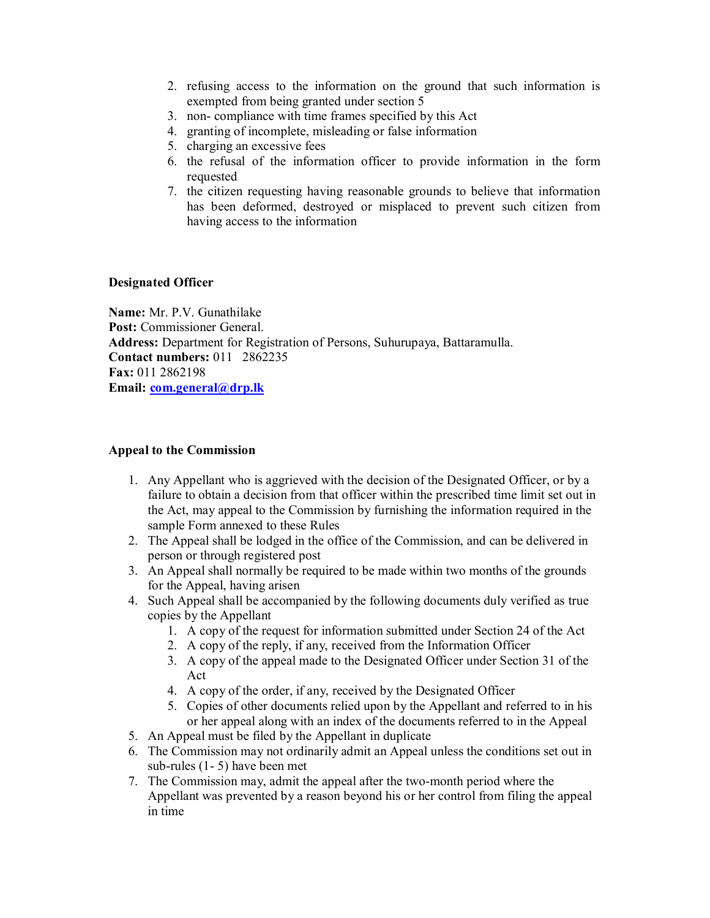- 2. refusing access to the information on the ground that such information is exempted from being granted under section 5
- 3. non- compliance with time frames specified by this Act
- 4. granting of incomplete, misleading or false information
- 5. charging an excessive fees
- 6. the refusal of the information officer to provide information in the form requested
- 7. the citizen requesting having reasonable grounds to believe that information has been deformed, destroyed or misplaced to prevent such citizen from having access to the information

## **Designated Officer**

**Name:** Mr. P.V. Gunathilake **Post:** Commissioner General. **Address:** Department for Registration of Persons, Suhurupaya, Battaramulla. **Contact numbers:** 011 2862235 **Fax:** 011 2862198 **Email: com.general@drp.lk**

#### **Appeal to the Commission**

- 1. Any Appellant who is aggrieved with the decision of the Designated Officer, or by a failure to obtain a decision from that officer within the prescribed time limit set out in the Act, may appeal to the Commission by furnishing the information required in the sample Form annexed to these Rules
- 2. The Appeal shall be lodged in the office of the Commission, and can be delivered in person or through registered post
- 3. An Appeal shall normally be required to be made within two months of the grounds for the Appeal, having arisen
- 4. Such Appeal shall be accompanied by the following documents duly verified as true copies by the Appellant
	- 1. A copy of the request for information submitted under Section 24 of the Act
	- 2. A copy of the reply, if any, received from the Information Officer
	- 3. A copy of the appeal made to the Designated Officer under Section 31 of the Act
	- 4. A copy of the order, if any, received by the Designated Officer
	- 5. Copies of other documents relied upon by the Appellant and referred to in his or her appeal along with an index of the documents referred to in the Appeal
- 5. An Appeal must be filed by the Appellant in duplicate
- 6. The Commission may not ordinarily admit an Appeal unless the conditions set out in sub-rules (1- 5) have been met
- 7. The Commission may, admit the appeal after the two-month period where the Appellant was prevented by a reason beyond his or her control from filing the appeal in time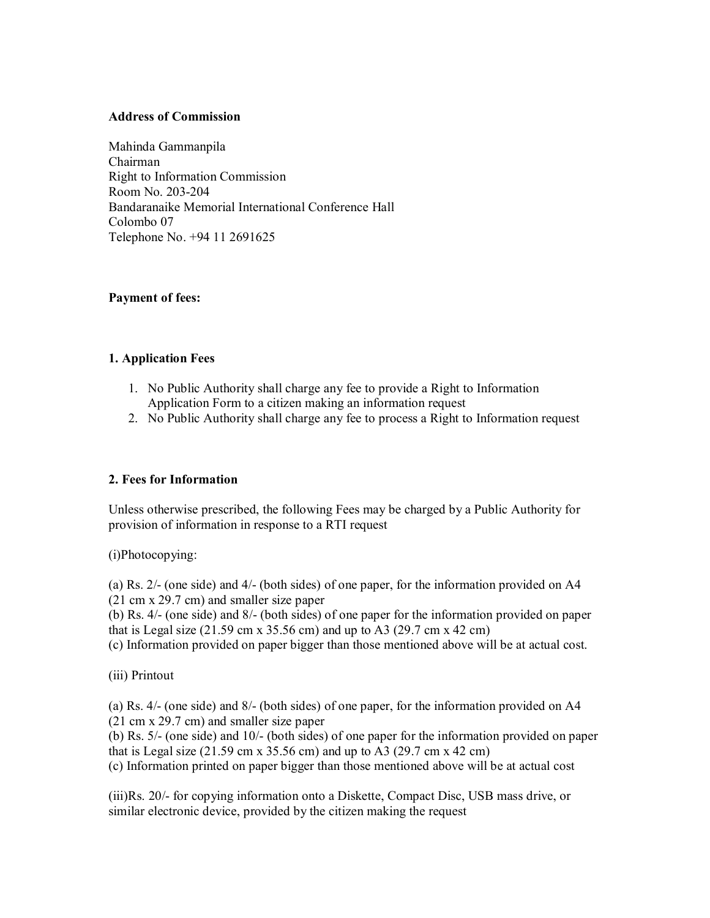## **Address of Commission**

Mahinda Gammanpila Chairman Right to Information Commission Room No. 203-204 Bandaranaike Memorial International Conference Hall Colombo 07 Telephone No. +94 11 2691625

## **Payment of fees:**

## **1. Application Fees**

- 1. No Public Authority shall charge any fee to provide a Right to Information Application Form to a citizen making an information request
- 2. No Public Authority shall charge any fee to process a Right to Information request

# **2. Fees for Information**

Unless otherwise prescribed, the following Fees may be charged by a Public Authority for provision of information in response to a RTI request

(i)Photocopying:

(a) Rs. 2/- (one side) and 4/- (both sides) of one paper, for the information provided on A4 (21 cm x 29.7 cm) and smaller size paper

(b) Rs. 4/- (one side) and 8/- (both sides) of one paper for the information provided on paper that is Legal size (21.59 cm x 35.56 cm) and up to A3 (29.7 cm x 42 cm)

(c) Information provided on paper bigger than those mentioned above will be at actual cost.

(iii) Printout

(a) Rs. 4/- (one side) and 8/- (both sides) of one paper, for the information provided on A4 (21 cm x 29.7 cm) and smaller size paper

(b) Rs. 5/- (one side) and 10/- (both sides) of one paper for the information provided on paper that is Legal size  $(21.59 \text{ cm} \times 35.56 \text{ cm})$  and up to A3  $(29.7 \text{ cm} \times 42 \text{ cm})$ 

(c) Information printed on paper bigger than those mentioned above will be at actual cost

(iii)Rs. 20/- for copying information onto a Diskette, Compact Disc, USB mass drive, or similar electronic device, provided by the citizen making the request